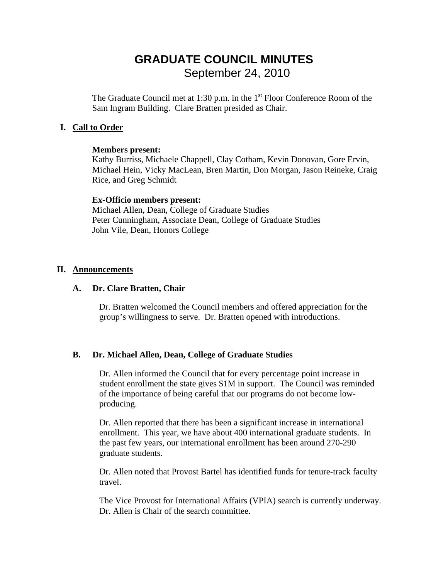# **GRADUATE COUNCIL MINUTES**  September 24, 2010

The Graduate Council met at 1:30 p.m. in the  $1<sup>st</sup>$  Floor Conference Room of the Sam Ingram Building. Clare Bratten presided as Chair.

#### **I. Call to Order**

#### **Members present:**

Kathy Burriss, Michaele Chappell, Clay Cotham, Kevin Donovan, Gore Ervin, Michael Hein, Vicky MacLean, Bren Martin, Don Morgan, Jason Reineke, Craig Rice, and Greg Schmidt

#### **Ex-Officio members present:**

Michael Allen, Dean, College of Graduate Studies Peter Cunningham, Associate Dean, College of Graduate Studies John Vile, Dean, Honors College

#### **II. Announcements**

#### **A. Dr. Clare Bratten, Chair**

Dr. Bratten welcomed the Council members and offered appreciation for the group's willingness to serve. Dr. Bratten opened with introductions.

#### **B. Dr. Michael Allen, Dean, College of Graduate Studies**

 Dr. Allen informed the Council that for every percentage point increase in student enrollment the state gives \$1M in support. The Council was reminded of the importance of being careful that our programs do not become lowproducing.

 Dr. Allen reported that there has been a significant increase in international enrollment. This year, we have about 400 international graduate students. In the past few years, our international enrollment has been around 270-290 graduate students.

Dr. Allen noted that Provost Bartel has identified funds for tenure-track faculty travel.

The Vice Provost for International Affairs (VPIA) search is currently underway. Dr. Allen is Chair of the search committee.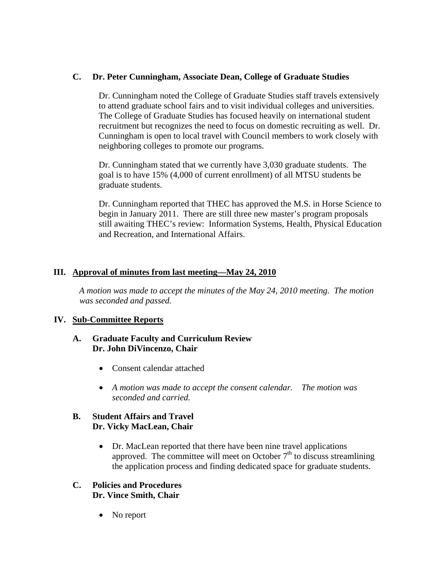#### **C. Dr. Peter Cunningham, Associate Dean, College of Graduate Studies**

Dr. Cunningham noted the College of Graduate Studies staff travels extensively to attend graduate school fairs and to visit individual colleges and universities. The College of Graduate Studies has focused heavily on international student recruitment but recognizes the need to focus on domestic recruiting as well. Dr. Cunningham is open to local travel with Council members to work closely with neighboring colleges to promote our programs.

Dr. Cunningham stated that we currently have 3,030 graduate students. The goal is to have 15% (4,000 of current enrollment) of all MTSU students be graduate students.

Dr. Cunningham reported that THEC has approved the M.S. in Horse Science to begin in January 2011. There are still three new master's program proposals still awaiting THEC's review: Information Systems, Health, Physical Education and Recreation, and International Affairs.

### **III.** Approval of minutes from last meeting—May 24, 2010

 *A motion was made to accept the minutes of the May 24, 2010 meeting. The motion was seconded and passed.* 

#### **IV.** Sub-Committee Reports

#### **A. Graduate Faculty and Curriculum Review Dr. John DiVincenzo, Chair**

- Consent calendar attached
- *A motion was made to accept the consent calendar. The motion was seconded and carried.*

#### **B. Student Affairs and Travel Dr. Vicky MacLean, Chair**

• Dr. MacLean reported that there have been nine travel applications approved. The committee will meet on October  $7<sup>th</sup>$  to discuss streamlining the application process and finding dedicated space for graduate students.

#### **C. Policies and Procedures Dr. Vince Smith, Chair**

• No report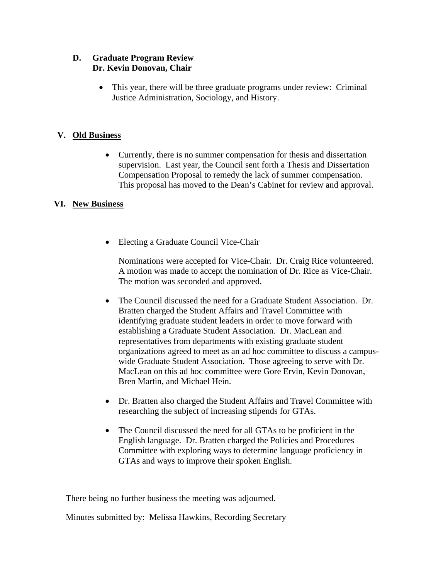### **D. Graduate Program Review Dr. Kevin Donovan, Chair**

• This year, there will be three graduate programs under review: Criminal Justice Administration, Sociology, and History.

## **V.** Old Business

• Currently, there is no summer compensation for thesis and dissertation supervision. Last year, the Council sent forth a Thesis and Dissertation Compensation Proposal to remedy the lack of summer compensation. This proposal has moved to the Dean's Cabinet for review and approval.

## **VI.** New Business

• Electing a Graduate Council Vice-Chair

Nominations were accepted for Vice-Chair. Dr. Craig Rice volunteered. A motion was made to accept the nomination of Dr. Rice as Vice-Chair. The motion was seconded and approved.

- The Council discussed the need for a Graduate Student Association. Dr. Bratten charged the Student Affairs and Travel Committee with identifying graduate student leaders in order to move forward with establishing a Graduate Student Association. Dr. MacLean and representatives from departments with existing graduate student organizations agreed to meet as an ad hoc committee to discuss a campuswide Graduate Student Association. Those agreeing to serve with Dr. MacLean on this ad hoc committee were Gore Ervin, Kevin Donovan, Bren Martin, and Michael Hein.
- Dr. Bratten also charged the Student Affairs and Travel Committee with researching the subject of increasing stipends for GTAs.
- The Council discussed the need for all GTAs to be proficient in the English language. Dr. Bratten charged the Policies and Procedures Committee with exploring ways to determine language proficiency in GTAs and ways to improve their spoken English.

There being no further business the meeting was adjourned.

Minutes submitted by: Melissa Hawkins, Recording Secretary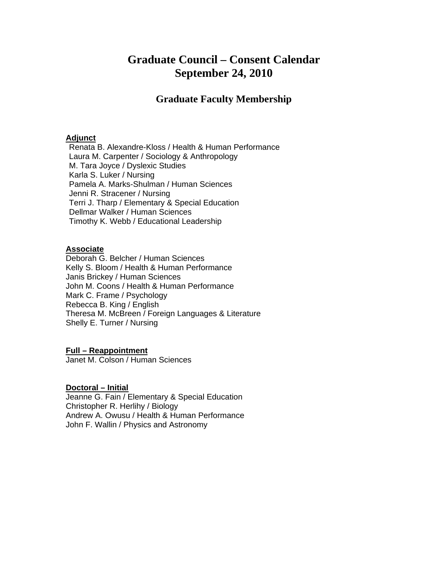## **Graduate Council – Consent Calendar September 24, 2010**

## **Graduate Faculty Membership**

#### <sup>U</sup>**Adjunct**

Renata B. Alexandre-Kloss / Health & Human Performance Laura M. Carpenter / Sociology & Anthropology M. Tara Joyce / Dyslexic Studies Karla S. Luker / Nursing Pamela A. Marks-Shulman / Human Sciences Jenni R. Stracener / Nursing Terri J. Tharp / Elementary & Special Education Dellmar Walker / Human Sciences Timothy K. Webb / Educational Leadership

#### <sup>U</sup>**Associate**

Deborah G. Belcher / Human Sciences Kelly S. Bloom / Health & Human Performance Janis Brickey / Human Sciences John M. Coons / Health & Human Performance Mark C. Frame / Psychology Rebecca B. King / English Theresa M. McBreen / Foreign Languages & Literature Shelly E. Turner / Nursing

#### <sup>U</sup>**Full – Reappointment**

Janet M. Colson / Human Sciences

#### Doctoral – Initial

Jeanne G. Fain / Elementary & Special Education Christopher R. Herlihy / Biology Andrew A. Owusu / Health & Human Performance John F. Wallin / Physics and Astronomy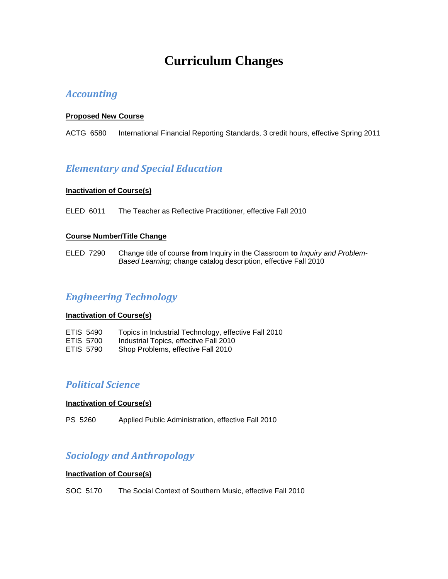# **Curriculum Changes**

## *Accounting*

#### <sup>U</sup>**Proposed New Course**

ACTG 6580 International Financial Reporting Standards, 3 credit hours, effective Spring 2011

## *Elementary and Special Education*

#### **Inactivation of Course(s)**

ELED 6011 The Teacher as Reflective Practitioner, effective Fall 2010

#### **Course Number/Title Change**

ELED 7290 Change title of course **from** Inquiry in the Classroom **to** *Inquiry and Problem-Based Learning*; change catalog description, effective Fall 2010

## *Engineering Technology*

#### **Inactivation of Course(s)**

| ETIS 5490        | Topics in Industrial Technology, effective Fall 2010 |
|------------------|------------------------------------------------------|
| ETIS 5700        | Industrial Topics, effective Fall 2010               |
| <b>ETIS 5790</b> | Shop Problems, effective Fall 2010                   |

## *Political Science*

#### **Inactivation of Course(s)**

PS 5260 Applied Public Administration, effective Fall 2010

## *Sociology and Anthropology*

#### **Inactivation of Course(s)**

SOC 5170 The Social Context of Southern Music, effective Fall 2010